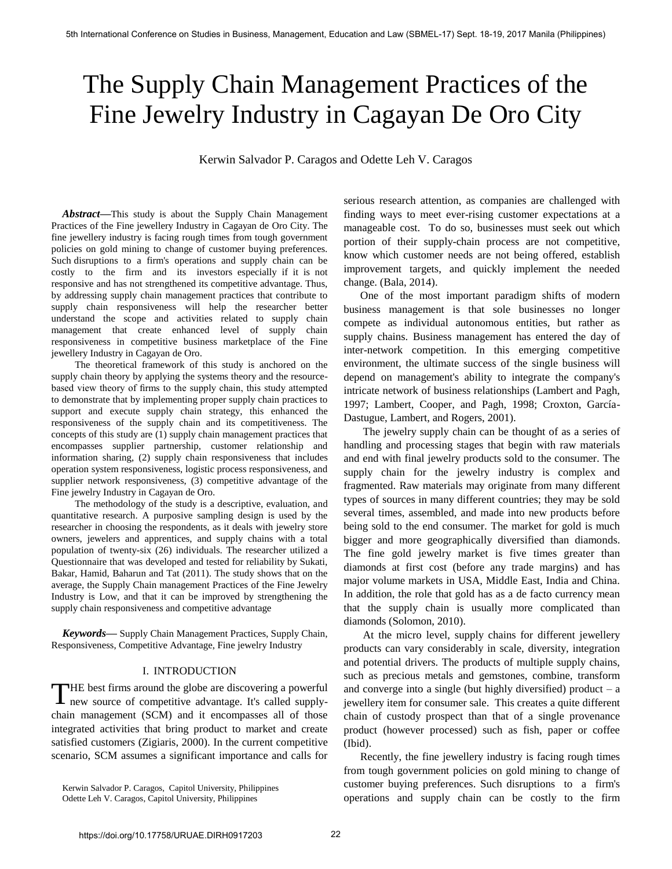# The Supply Chain Management Practices of the Fine Jewelry Industry in Cagayan De Oro City

Kerwin Salvador P. Caragos and Odette Leh V. Caragos

*Abstract***—**This study is about the Supply Chain Management Practices of the Fine jewellery Industry in Cagayan de Oro City. The fine jewellery industry is facing rough times from tough government policies on gold mining to change of customer buying preferences. Such disruptions to a firm's operations and supply chain can be costly to the firm and its investors especially if it is not responsive and has not strengthened its competitive advantage. Thus, by addressing supply chain management practices that contribute to supply chain responsiveness will help the researcher better understand the scope and activities related to supply chain management that create enhanced level of supply chain responsiveness in competitive business marketplace of the Fine jewellery Industry in Cagayan de Oro.

 The theoretical framework of this study is anchored on the supply chain theory by applying the systems theory and the resourcebased view theory of firms to the supply chain, this study attempted to demonstrate that by implementing proper supply chain practices to support and execute supply chain strategy, this enhanced the responsiveness of the supply chain and its competitiveness. The concepts of this study are (1) supply chain management practices that encompasses supplier partnership, customer relationship and information sharing, (2) supply chain responsiveness that includes operation system responsiveness, logistic process responsiveness, and supplier network responsiveness, (3) competitive advantage of the Fine jewelry Industry in Cagayan de Oro.

 The methodology of the study is a descriptive, evaluation, and quantitative research. A purposive sampling design is used by the researcher in choosing the respondents, as it deals with jewelry store owners, jewelers and apprentices, and supply chains with a total population of twenty-six (26) individuals. The researcher utilized a Questionnaire that was developed and tested for reliability by Sukati, Bakar, Hamid, Baharun and Tat (2011). The study shows that on the average, the Supply Chain management Practices of the Fine Jewelry Industry is Low, and that it can be improved by strengthening the supply chain responsiveness and competitive advantage

*Keywords***—** Supply Chain Management Practices, Supply Chain, Responsiveness, Competitive Advantage, Fine jewelry Industry

### I. INTRODUCTION

**THE** best firms around the globe are discovering a powerful THE best firms around the globe are discovering a powerful new source of competitive advantage. It's called supplychain management (SCM) and it encompasses all of those integrated activities that bring product to market and create satisfied customers (Zigiaris, 2000). In the current competitive scenario, SCM assumes a significant importance and calls for

Kerwin Salvador P. Caragos, Capitol University, Philippines Odette Leh V. Caragos, Capitol University, Philippines

serious research attention, as companies are challenged with finding ways to meet ever-rising customer expectations at a manageable cost. To do so, businesses must seek out which portion of their supply-chain process are not competitive, know which customer needs are not being offered, establish improvement targets, and quickly implement the needed change. (Bala, 2014).

 One of the most important paradigm shifts of modern business management is that sole businesses no longer compete as individual autonomous entities, but rather as supply chains. Business management has entered the day of inter-network competition. In this emerging competitive environment, the ultimate success of the single business will depend on management's ability to integrate the company's intricate network of business relationships (Lambert and Pagh, 1997; Lambert, Cooper, and Pagh, 1998; Croxton, García-Dastugue, Lambert, and Rogers, 2001).

 The jewelry supply chain can be thought of as a series of handling and processing stages that begin with raw materials and end with final jewelry products sold to the consumer. The supply chain for the jewelry industry is complex and fragmented. Raw materials may originate from many different types of sources in many different countries; they may be sold several times, assembled, and made into new products before being sold to the end consumer. The market for gold is much bigger and more geographically diversified than diamonds. The fine gold jewelry market is five times greater than diamonds at first cost (before any trade margins) and has major volume markets in USA, Middle East, India and China. In addition, the role that gold has as a de facto currency mean that the supply chain is usually more complicated than diamonds (Solomon, 2010).

 At the micro level, supply chains for different jewellery products can vary considerably in scale, diversity, integration and potential drivers. The products of multiple supply chains, such as precious metals and gemstones, combine, transform and converge into a single (but highly diversified) product  $-$  a jewellery item for consumer sale. This creates a quite different chain of custody prospect than that of a single provenance product (however processed) such as fish, paper or coffee (Ibid).

 Recently, the fine jewellery industry is facing rough times from tough government policies on gold mining to change of customer buying preferences. Such disruptions to a firm's operations and supply chain can be costly to the firm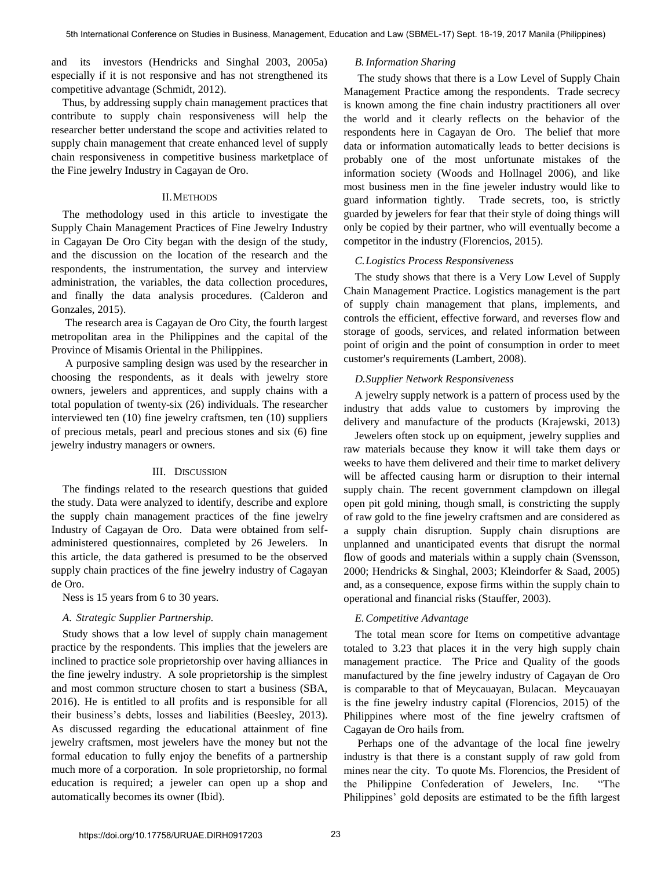and its investors (Hendricks and Singhal 2003, 2005a) especially if it is not responsive and has not strengthened its competitive advantage (Schmidt, 2012).

 Thus, by addressing supply chain management practices that contribute to supply chain responsiveness will help the researcher better understand the scope and activities related to supply chain management that create enhanced level of supply chain responsiveness in competitive business marketplace of the Fine jewelry Industry in Cagayan de Oro.

## II.METHODS

The methodology used in this article to investigate the Supply Chain Management Practices of Fine Jewelry Industry in Cagayan De Oro City began with the design of the study, and the discussion on the location of the research and the respondents, the instrumentation, the survey and interview administration, the variables, the data collection procedures, and finally the data analysis procedures. (Calderon and Gonzales, 2015).

 The research area is Cagayan de Oro City, the fourth largest metropolitan area in the Philippines and the capital of the Province of Misamis Oriental in the Philippines.

 A purposive sampling design was used by the researcher in choosing the respondents, as it deals with jewelry store owners, jewelers and apprentices, and supply chains with a total population of twenty-six (26) individuals. The researcher interviewed ten (10) fine jewelry craftsmen, ten (10) suppliers of precious metals, pearl and precious stones and six (6) fine jewelry industry managers or owners.

# III. DISCUSSION

The findings related to the research questions that guided the study. Data were analyzed to identify, describe and explore the supply chain management practices of the fine jewelry Industry of Cagayan de Oro. Data were obtained from selfadministered questionnaires, completed by 26 Jewelers. In this article, the data gathered is presumed to be the observed supply chain practices of the fine jewelry industry of Cagayan de Oro.

Ness is 15 years from 6 to 30 years.

# *A. Strategic Supplier Partnership.*

Study shows that a low level of supply chain management practice by the respondents. This implies that the jewelers are inclined to practice sole proprietorship over having alliances in the fine jewelry industry. A sole proprietorship is the simplest and most common structure chosen to start a business (SBA, 2016). He is entitled to all profits and is responsible for all their business's debts, losses and liabilities (Beesley, 2013). As discussed regarding the educational attainment of fine jewelry craftsmen, most jewelers have the money but not the formal education to fully enjoy the benefits of a partnership much more of a corporation. In sole proprietorship, no formal education is required; a jeweler can open up a shop and automatically becomes its owner (Ibid).

## *B.Information Sharing*

 The study shows that there is a Low Level of Supply Chain Management Practice among the respondents. Trade secrecy is known among the fine chain industry practitioners all over the world and it clearly reflects on the behavior of the respondents here in Cagayan de Oro. The belief that more data or information automatically leads to better decisions is probably one of the most unfortunate mistakes of the information society (Woods and Hollnagel 2006), and like most business men in the fine jeweler industry would like to guard information tightly. Trade secrets, too, is strictly guarded by jewelers for fear that their style of doing things will only be copied by their partner, who will eventually become a competitor in the industry (Florencios, 2015).

## *C.Logistics Process Responsiveness*

The study shows that there is a Very Low Level of Supply Chain Management Practice. Logistics management is the part of supply chain management that plans, implements, and controls the efficient, effective forward, and reverses flow and storage of goods, services, and related information between point of origin and the point of consumption in order to meet customer's requirements (Lambert, 2008).

# *D.Supplier Network Responsiveness*

 A jewelry supply network is a pattern of process used by the industry that adds value to customers by improving the delivery and manufacture of the products (Krajewski, 2013)

 Jewelers often stock up on equipment, jewelry supplies and raw materials because they know it will take them days or weeks to have them delivered and their time to market delivery will be affected causing harm or disruption to their internal supply chain. The recent government clampdown on illegal open pit gold mining, though small, is constricting the supply of raw gold to the fine jewelry craftsmen and are considered as a supply chain disruption. Supply chain disruptions are unplanned and unanticipated events that disrupt the normal flow of goods and materials within a supply chain (Svensson, 2000; Hendricks & Singhal, 2003; Kleindorfer & Saad, 2005) and, as a consequence, expose firms within the supply chain to operational and financial risks (Stauffer, 2003).

# *E.Competitive Advantage*

The total mean score for Items on competitive advantage totaled to 3.23 that places it in the very high supply chain management practice. The Price and Quality of the goods manufactured by the fine jewelry industry of Cagayan de Oro is comparable to that of Meycauayan, Bulacan. Meycauayan is the fine jewelry industry capital (Florencios, 2015) of the Philippines where most of the fine jewelry craftsmen of Cagayan de Oro hails from.

 Perhaps one of the advantage of the local fine jewelry industry is that there is a constant supply of raw gold from mines near the city. To quote Ms. Florencios, the President of the Philippine Confederation of Jewelers, Inc. "The Philippines' gold deposits are estimated to be the fifth largest